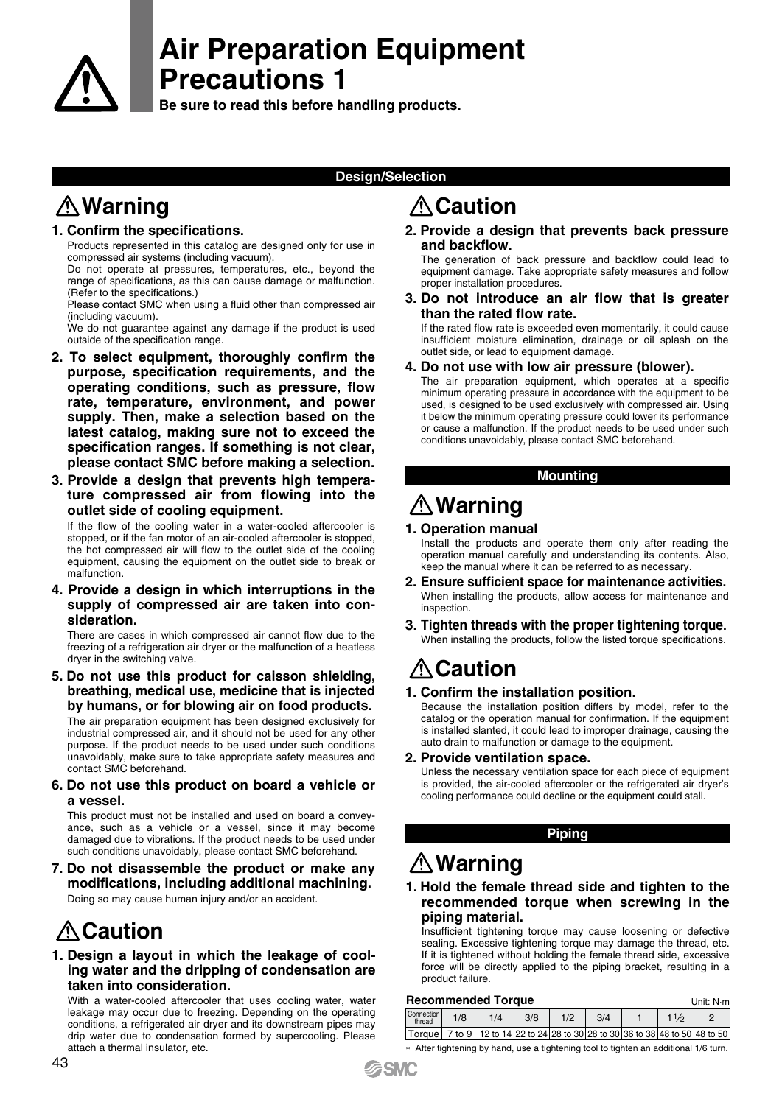

# **Air Preparation Equipment Precautions 1**

**Be sure to read this before handling products.**

# **Design/Selection**

# **<u>∧</u> Warning and Caution**

### **1. Confirm the specifications.**

Products represented in this catalog are designed only for use in compressed air systems (including vacuum).

Do not operate at pressures, temperatures, etc., beyond the range of specifications, as this can cause damage or malfunction. (Refer to the specifications.)

Please contact SMC when using a fluid other than compressed air (including vacuum).

We do not guarantee against any damage if the product is used outside of the specification range.

- **2. To select equipment, thoroughly confirm the purpose, specification requirements, and the operating conditions, such as pressure, flow rate, temperature, environment, and power supply. Then, make a selection based on the latest catalog, making sure not to exceed the specification ranges. If something is not clear, please contact SMC before making a selection.**
- **3. Provide a design that prevents high temperature compressed air from flowing into the outlet side of cooling equipment.**

If the flow of the cooling water in a water-cooled aftercooler is stopped, or if the fan motor of an air-cooled aftercooler is stopped, the hot compressed air will flow to the outlet side of the cooling equipment, causing the equipment on the outlet side to break or malfunction.

#### **4. Provide a design in which interruptions in the supply of compressed air are taken into consideration.**

There are cases in which compressed air cannot flow due to the freezing of a refrigeration air dryer or the malfunction of a heatless dryer in the switching valve.

**5. Do not use this product for caisson shielding, breathing, medical use, medicine that is injected by humans, or for blowing air on food products.**

The air preparation equipment has been designed exclusively for industrial compressed air, and it should not be used for any other purpose. If the product needs to be used under such conditions unavoidably, make sure to take appropriate safety measures and contact SMC beforehand.

#### **6. Do not use this product on board a vehicle or a vessel.**

This product must not be installed and used on board a conveyance, such as a vehicle or a vessel, since it may become damaged due to vibrations. If the product needs to be used under such conditions unavoidably, please contact SMC beforehand.

**7. Do not disassemble the product or make any modifications, including additional machining.** Doing so may cause human injury and/or an accident.

# **Caution**

### **1. Design a layout in which the leakage of cooling water and the dripping of condensation are taken into consideration.**

With a water-cooled aftercooler that uses cooling water, water leakage may occur due to freezing. Depending on the operating conditions, a refrigerated air dryer and its downstream pipes may drip water due to condensation formed by supercooling. Please attach a thermal insulator, etc.

**2. Provide a design that prevents back pressure and backflow.**

The generation of back pressure and backflow could lead to equipment damage. Take appropriate safety measures and follow proper installation procedures.

**3. Do not introduce an air flow that is greater than the rated flow rate.**

If the rated flow rate is exceeded even momentarily, it could cause insufficient moisture elimination, drainage or oil splash on the outlet side, or lead to equipment damage.

#### **4. Do not use with low air pressure (blower).**

The air preparation equipment, which operates at a specific minimum operating pressure in accordance with the equipment to be used, is designed to be used exclusively with compressed air. Using it below the minimum operating pressure could lower its performance or cause a malfunction. If the product needs to be used under such conditions unavoidably, please contact SMC beforehand.

### **Mounting**

# **Warning 1. Operation manual**

Install the products and operate them only after reading the operation manual carefully and understanding its contents. Also, keep the manual where it can be referred to as necessary.

- **2. Ensure sufficient space for maintenance activities.** When installing the products, allow access for maintenance and inspection.
- **3. Tighten threads with the proper tightening torque.** When installing the products, follow the listed torque specifications.

# *A* Caution

### **1. Confirm the installation position.**

Because the installation position differs by model, refer to the catalog or the operation manual for confirmation. If the equipment is installed slanted, it could lead to improper drainage, causing the auto drain to malfunction or damage to the equipment.

#### **2. Provide ventilation space.**

Unless the necessary ventilation space for each piece of equipment is provided, the air-cooled aftercooler or the refrigerated air dryer's cooling performance could decline or the equipment could stall.

### **Piping**

# **Warning**

### **1. Hold the female thread side and tighten to the recommended torque when screwing in the piping material.**

Insufficient tightening torque may cause loosening or defective sealing. Excessive tightening torque may damage the thread, etc. If it is tightened without holding the female thread side, excessive force will be directly applied to the piping bracket, resulting in a product failure.

| <b>Recommended Torque</b> |     |                                                                              |     |     |     |  |      | Unit: N <sub>·</sub> m |
|---------------------------|-----|------------------------------------------------------------------------------|-----|-----|-----|--|------|------------------------|
| Connection I<br>thread    | 1/8 | 1/4                                                                          | 3/8 | 1/2 | 3/4 |  | 11/2 |                        |
|                           |     | Torque 7 to 9 12 to 14 22 to 24 28 to 30 28 to 30 36 to 38 48 to 50 48 to 50 |     |     |     |  |      |                        |

∗ After tightening by hand, use a tightening tool to tighten an additional 1/6 turn.

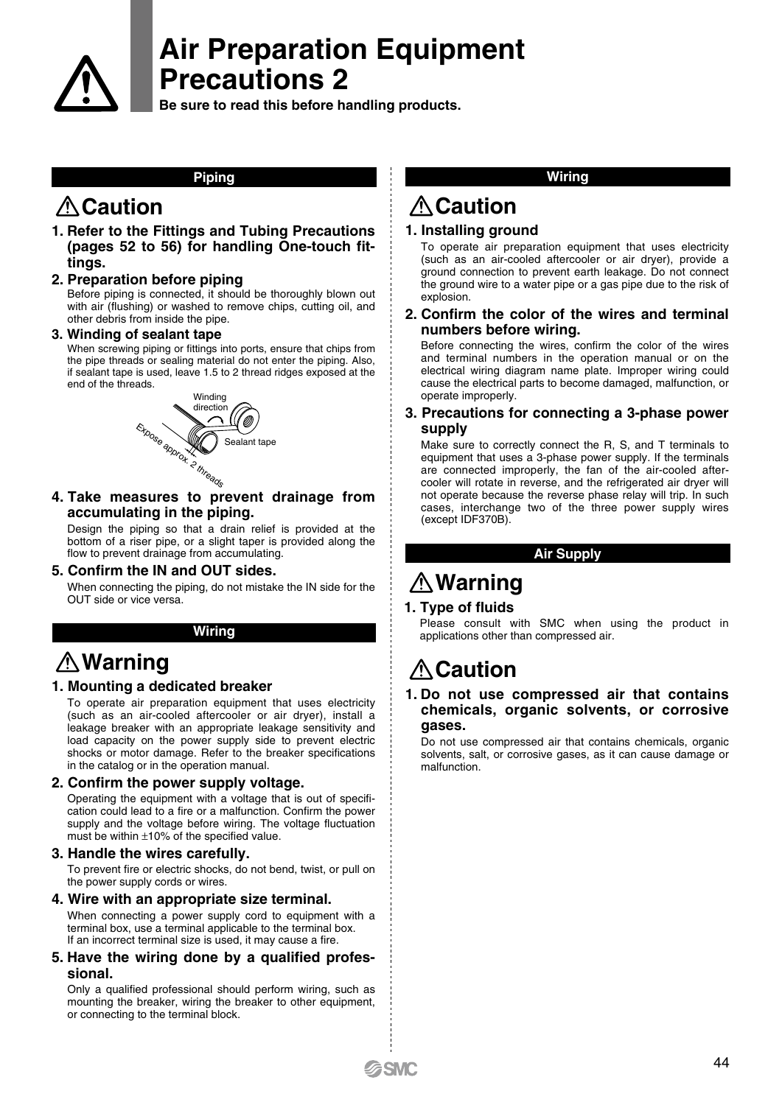

# **Air Preparation Equipment Precautions 2**

**Be sure to read this before handling products.**

### **Piping**

# **Caution**

**1. Refer to the Fittings and Tubing Precautions (pages 52 to 56) for handling One-touch fittings.**

### **2. Preparation before piping**

Before piping is connected, it should be thoroughly blown out with air (flushing) or washed to remove chips, cutting oil, and other debris from inside the pipe.

### **3. Winding of sealant tape**

When screwing piping or fittings into ports, ensure that chips from the pipe threads or sealing material do not enter the piping. Also, if sealant tape is used, leave 1.5 to 2 thread ridges exposed at the end of the threads.



**4. Take measures to prevent drainage from accumulating in the piping.**

Design the piping so that a drain relief is provided at the bottom of a riser pipe, or a slight taper is provided along the flow to prevent drainage from accumulating.

#### **5. Confirm the IN and OUT sides.**

When connecting the piping, do not mistake the IN side for the OUT side or vice versa.

### **Wiring**

# **Warning**

### **1. Mounting a dedicated breaker**

To operate air preparation equipment that uses electricity (such as an air-cooled aftercooler or air dryer), install a leakage breaker with an appropriate leakage sensitivity and load capacity on the power supply side to prevent electric shocks or motor damage. Refer to the breaker specifications in the catalog or in the operation manual

## **2. Confirm the power supply voltage.**

Operating the equipment with a voltage that is out of specification could lead to a fire or a malfunction. Confirm the power supply and the voltage before wiring. The voltage fluctuation must be within ±10% of the specified value.

### **3. Handle the wires carefully.**

To prevent fire or electric shocks, do not bend, twist, or pull on the power supply cords or wires.

#### **4. Wire with an appropriate size terminal.**

When connecting a power supply cord to equipment with a terminal box, use a terminal applicable to the terminal box. If an incorrect terminal size is used, it may cause a fire.

**5. Have the wiring done by a qualified professional.**

Only a qualified professional should perform wiring, such as mounting the breaker, wiring the breaker to other equipment. or connecting to the terminal block.

### **Wiring**

# **Caution**

## **1. Installing ground**

To operate air preparation equipment that uses electricity (such as an air-cooled aftercooler or air dryer), provide a ground connection to prevent earth leakage. Do not connect the ground wire to a water pipe or a gas pipe due to the risk of explosion.

### **2. Confirm the color of the wires and terminal numbers before wiring.**

Before connecting the wires, confirm the color of the wires and terminal numbers in the operation manual or on the electrical wiring diagram name plate. Improper wiring could cause the electrical parts to become damaged, malfunction, or operate improperly.

### **3. Precautions for connecting a 3-phase power supply**

Make sure to correctly connect the R, S, and T terminals to equipment that uses a 3-phase power supply. If the terminals are connected improperly, the fan of the air-cooled aftercooler will rotate in reverse, and the refrigerated air dryer will not operate because the reverse phase relay will trip. In such cases, interchange two of the three power supply wires (except IDF370B).

## **Air Supply**

# **Warning**

### **1. Type of fluids**

Please consult with SMC when using the product in applications other than compressed air.

# **Caution**

### **1. Do not use compressed air that contains chemicals, organic solvents, or corrosive gases.**

Do not use compressed air that contains chemicals, organic solvents, salt, or corrosive gases, as it can cause damage or malfunction.